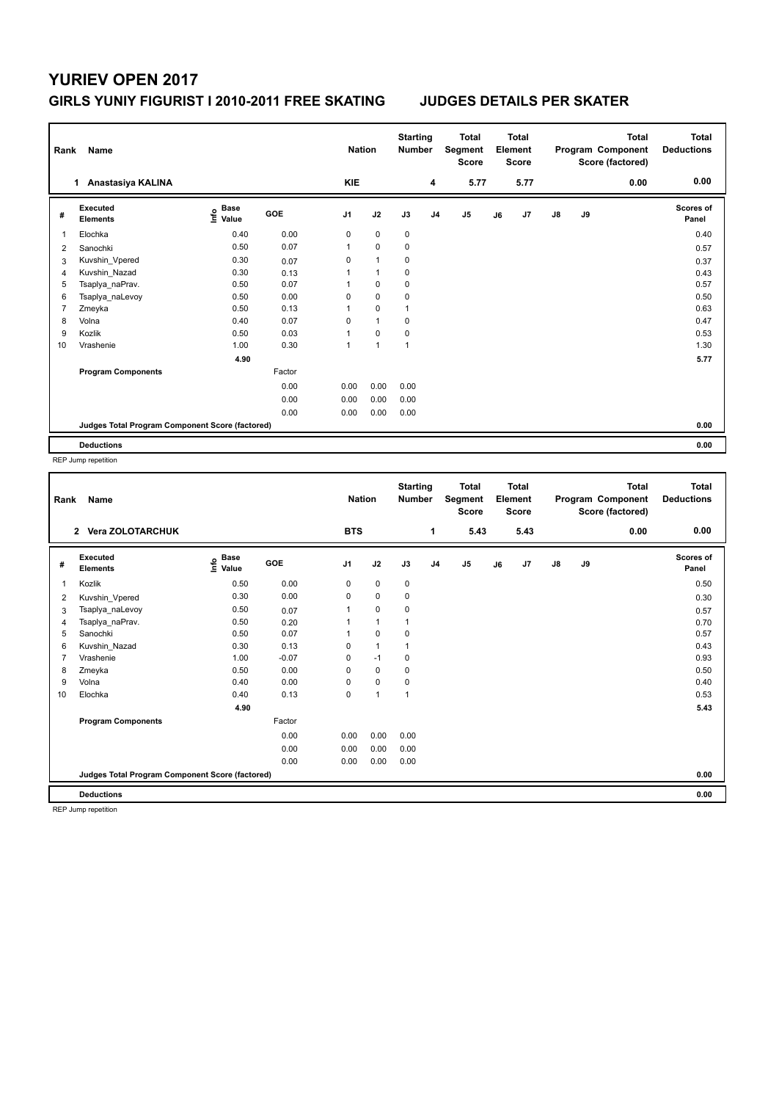## **YURIEV OPEN 2017 GIRLS YUNIY FIGURIST I 2010-2011 FREE SKATING JUDGES DETAILS PER SKATER**

| Rank                                            | Name                        |                                    |        | <b>Nation</b>  |                | <b>Starting</b><br><b>Number</b> |                | <b>Total</b><br>Segment<br><b>Score</b> |    | <b>Total</b><br>Element<br><b>Score</b> |               |    | <b>Total</b><br>Program Component<br>Score (factored) | <b>Total</b><br><b>Deductions</b> |
|-------------------------------------------------|-----------------------------|------------------------------------|--------|----------------|----------------|----------------------------------|----------------|-----------------------------------------|----|-----------------------------------------|---------------|----|-------------------------------------------------------|-----------------------------------|
|                                                 | 1 Anastasiya KALINA         |                                    |        | KIE            |                |                                  | 4              | 5.77                                    |    | 5.77                                    |               |    | 0.00                                                  | 0.00                              |
| #                                               | Executed<br><b>Elements</b> | <b>Base</b><br>$\frac{6}{5}$ Value | GOE    | J <sub>1</sub> | J2             | J3                               | J <sub>4</sub> | J <sub>5</sub>                          | J6 | J7                                      | $\mathsf{J}8$ | J9 |                                                       | <b>Scores of</b><br>Panel         |
| 1                                               | Elochka                     | 0.40                               | 0.00   | 0              | $\mathbf 0$    | $\pmb{0}$                        |                |                                         |    |                                         |               |    |                                                       | 0.40                              |
| 2                                               | Sanochki                    | 0.50                               | 0.07   | 1              | $\mathbf 0$    | $\pmb{0}$                        |                |                                         |    |                                         |               |    |                                                       | 0.57                              |
| 3                                               | Kuvshin Vpered              | 0.30                               | 0.07   | 0              | $\overline{1}$ | $\mathbf 0$                      |                |                                         |    |                                         |               |    |                                                       | 0.37                              |
| 4                                               | Kuvshin Nazad               | 0.30                               | 0.13   | 1              | $\overline{1}$ | 0                                |                |                                         |    |                                         |               |    |                                                       | 0.43                              |
| 5                                               | Tsaplya_naPrav.             | 0.50                               | 0.07   |                | $\mathbf 0$    | 0                                |                |                                         |    |                                         |               |    |                                                       | 0.57                              |
| 6                                               | Tsaplya_naLevoy             | 0.50                               | 0.00   | 0              | $\mathbf 0$    | 0                                |                |                                         |    |                                         |               |    |                                                       | 0.50                              |
| 7                                               | Zmeyka                      | 0.50                               | 0.13   | 1              | $\mathbf 0$    | $\overline{1}$                   |                |                                         |    |                                         |               |    |                                                       | 0.63                              |
| 8                                               | Volna                       | 0.40                               | 0.07   | 0              | $\overline{1}$ | 0                                |                |                                         |    |                                         |               |    |                                                       | 0.47                              |
| 9                                               | Kozlik                      | 0.50                               | 0.03   | 1              | $\mathbf 0$    | 0                                |                |                                         |    |                                         |               |    |                                                       | 0.53                              |
| 10                                              | Vrashenie                   | 1.00                               | 0.30   | 1              | $\overline{1}$ | $\overline{1}$                   |                |                                         |    |                                         |               |    |                                                       | 1.30                              |
|                                                 |                             | 4.90                               |        |                |                |                                  |                |                                         |    |                                         |               |    |                                                       | 5.77                              |
|                                                 | <b>Program Components</b>   |                                    | Factor |                |                |                                  |                |                                         |    |                                         |               |    |                                                       |                                   |
|                                                 |                             |                                    | 0.00   | 0.00           | 0.00           | 0.00                             |                |                                         |    |                                         |               |    |                                                       |                                   |
|                                                 |                             |                                    | 0.00   | 0.00           | 0.00           | 0.00                             |                |                                         |    |                                         |               |    |                                                       |                                   |
|                                                 |                             |                                    | 0.00   | 0.00           | 0.00           | 0.00                             |                |                                         |    |                                         |               |    |                                                       |                                   |
| Judges Total Program Component Score (factored) |                             |                                    |        |                |                |                                  |                |                                         |    | 0.00                                    |               |    |                                                       |                                   |
|                                                 | <b>Deductions</b>           |                                    |        |                |                |                                  |                |                                         |    |                                         |               |    |                                                       | 0.00                              |

REP Jump repetition

| Rank         | Name                                            |                           |            | <b>Nation</b>  |                | <b>Starting</b><br><b>Number</b> |                | <b>Total</b><br>Segment<br><b>Score</b> |    | <b>Total</b><br>Element<br><b>Score</b> |               |    | <b>Total</b><br>Program Component<br>Score (factored) | <b>Total</b><br><b>Deductions</b> |
|--------------|-------------------------------------------------|---------------------------|------------|----------------|----------------|----------------------------------|----------------|-----------------------------------------|----|-----------------------------------------|---------------|----|-------------------------------------------------------|-----------------------------------|
|              | 2 Vera ZOLOTARCHUK                              |                           |            | <b>BTS</b>     |                |                                  | 1              | 5.43                                    |    | 5.43                                    |               |    | 0.00                                                  | 0.00                              |
| #            | Executed<br><b>Elements</b>                     | Base<br>e Base<br>⊆ Value | <b>GOE</b> | J <sub>1</sub> | J2             | J3                               | J <sub>4</sub> | J5                                      | J6 | J7                                      | $\mathsf{J}8$ | J9 |                                                       | Scores of<br>Panel                |
| $\mathbf{1}$ | Kozlik                                          | 0.50                      | 0.00       | 0              | $\mathbf 0$    | $\mathbf 0$                      |                |                                         |    |                                         |               |    |                                                       | 0.50                              |
| 2            | Kuvshin Vpered                                  | 0.30                      | 0.00       | 0              | $\mathbf 0$    | 0                                |                |                                         |    |                                         |               |    |                                                       | 0.30                              |
| 3            | Tsaplya_naLevoy                                 | 0.50                      | 0.07       |                | $\mathbf 0$    | $\mathbf 0$                      |                |                                         |    |                                         |               |    |                                                       | 0.57                              |
| 4            | Tsaplya naPrav.                                 | 0.50                      | 0.20       |                | $\mathbf{1}$   |                                  |                |                                         |    |                                         |               |    |                                                       | 0.70                              |
| 5            | Sanochki                                        | 0.50                      | 0.07       |                | $\mathbf 0$    | $\mathbf 0$                      |                |                                         |    |                                         |               |    |                                                       | 0.57                              |
| 6            | Kuvshin_Nazad                                   | 0.30                      | 0.13       | $\mathbf 0$    | $\mathbf{1}$   | $\overline{1}$                   |                |                                         |    |                                         |               |    |                                                       | 0.43                              |
| 7            | Vrashenie                                       | 1.00                      | $-0.07$    | 0              | $-1$           | 0                                |                |                                         |    |                                         |               |    |                                                       | 0.93                              |
| 8            | Zmeyka                                          | 0.50                      | 0.00       | 0              | $\mathbf 0$    | 0                                |                |                                         |    |                                         |               |    |                                                       | 0.50                              |
| 9            | Volna                                           | 0.40                      | 0.00       | 0              | $\mathbf 0$    | $\mathbf 0$                      |                |                                         |    |                                         |               |    |                                                       | 0.40                              |
| 10           | Elochka                                         | 0.40                      | 0.13       | 0              | $\overline{1}$ | 1                                |                |                                         |    |                                         |               |    |                                                       | 0.53                              |
|              |                                                 | 4.90                      |            |                |                |                                  |                |                                         |    |                                         |               |    |                                                       | 5.43                              |
|              | <b>Program Components</b>                       |                           | Factor     |                |                |                                  |                |                                         |    |                                         |               |    |                                                       |                                   |
|              |                                                 |                           | 0.00       | 0.00           | 0.00           | 0.00                             |                |                                         |    |                                         |               |    |                                                       |                                   |
|              |                                                 |                           | 0.00       | 0.00           | 0.00           | 0.00                             |                |                                         |    |                                         |               |    |                                                       |                                   |
|              |                                                 |                           | 0.00       | 0.00           | 0.00           | 0.00                             |                |                                         |    |                                         |               |    |                                                       |                                   |
|              | Judges Total Program Component Score (factored) |                           |            |                |                |                                  |                |                                         |    |                                         |               |    |                                                       | 0.00                              |
|              | <b>Deductions</b>                               |                           |            |                |                |                                  |                |                                         |    |                                         |               |    |                                                       | 0.00                              |

REP Jump repetition